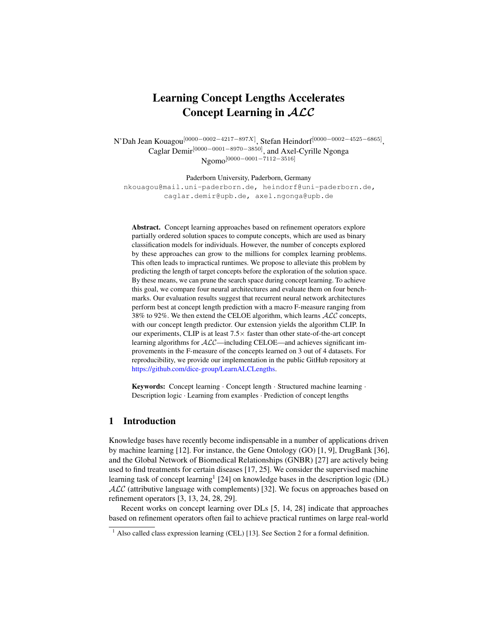# Learning Concept Lengths Accelerates Concept Learning in ALC

N'Dah Jean Kouagou $^{[0000-0002-4217-897X]}$ , Stefan Heindorf $^{[0000-0002-4525-6865]},$ Caglar Demir[0000−0001−8970−3850], and Axel-Cyrille Ngonga Ngomo<sup>[0000–0001–7112–3516]</sup>

Paderborn University, Paderborn, Germany

nkouagou@mail.uni-paderborn.de, heindorf@uni-paderborn.de, caglar.demir@upb.de, axel.ngonga@upb.de

Abstract. Concept learning approaches based on refinement operators explore partially ordered solution spaces to compute concepts, which are used as binary classification models for individuals. However, the number of concepts explored by these approaches can grow to the millions for complex learning problems. This often leads to impractical runtimes. We propose to alleviate this problem by predicting the length of target concepts before the exploration of the solution space. By these means, we can prune the search space during concept learning. To achieve this goal, we compare four neural architectures and evaluate them on four benchmarks. Our evaluation results suggest that recurrent neural network architectures perform best at concept length prediction with a macro F-measure ranging from 38% to 92%. We then extend the CELOE algorithm, which learns  $ALC$  concepts, with our concept length predictor. Our extension yields the algorithm CLIP. In our experiments, CLIP is at least  $7.5\times$  faster than other state-of-the-art concept learning algorithms for  $ALC$ —including CELOE—and achieves significant improvements in the F-measure of the concepts learned on 3 out of 4 datasets. For reproducibility, we provide our implementation in the public GitHub repository at [https://github.com/dice-group/LearnALCLengths.](https://github.com/dice-group/LearnALCLengths)

Keywords: Concept learning · Concept length · Structured machine learning · Description logic · Learning from examples · Prediction of concept lengths

## 1 Introduction

Knowledge bases have recently become indispensable in a number of applications driven by machine learning [\[12\]](#page-15-0). For instance, the Gene Ontology (GO) [\[1,](#page-15-1) [9\]](#page-15-2), DrugBank [\[36\]](#page-16-0), and the Global Network of Biomedical Relationships (GNBR) [\[27\]](#page-16-1) are actively being used to find treatments for certain diseases [\[17,](#page-16-2) [25\]](#page-16-3). We consider the supervised machine learning task of concept learning<sup>[1](#page-0-0)</sup> [\[24\]](#page-16-4) on knowledge bases in the description logic (DL)  $ALC$  (attributive language with complements) [\[32\]](#page-16-5). We focus on approaches based on refinement operators [\[3,](#page-15-3) [13,](#page-15-4) [24,](#page-16-4) [28,](#page-16-6) [29\]](#page-16-7).

Recent works on concept learning over DLs [\[5,](#page-15-5) [14,](#page-15-6) [28\]](#page-16-6) indicate that approaches based on refinement operators often fail to achieve practical runtimes on large real-world

<span id="page-0-0"></span><sup>&</sup>lt;sup>1</sup> Also called class expression learning (CEL) [\[13\]](#page-15-4). See Section [2](#page-1-0) for a formal definition.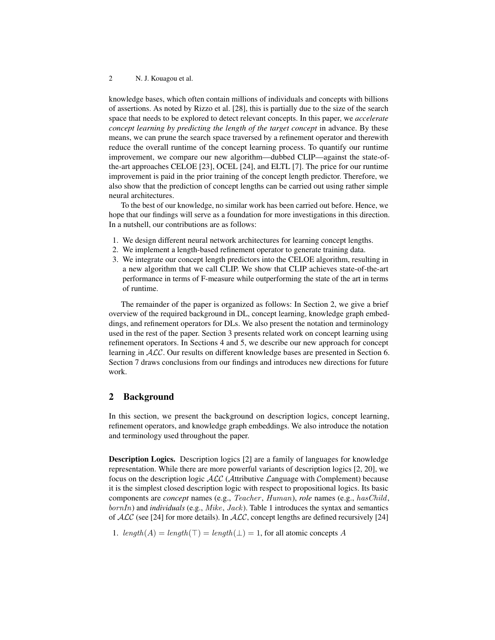knowledge bases, which often contain millions of individuals and concepts with billions of assertions. As noted by Rizzo et al. [\[28\]](#page-16-6), this is partially due to the size of the search space that needs to be explored to detect relevant concepts. In this paper, we *accelerate concept learning by predicting the length of the target concept* in advance. By these means, we can prune the search space traversed by a refinement operator and therewith reduce the overall runtime of the concept learning process. To quantify our runtime improvement, we compare our new algorithm—dubbed CLIP—against the state-ofthe-art approaches CELOE [\[23\]](#page-16-8), OCEL [\[24\]](#page-16-4), and ELTL [\[7\]](#page-15-7). The price for our runtime improvement is paid in the prior training of the concept length predictor. Therefore, we also show that the prediction of concept lengths can be carried out using rather simple neural architectures.

To the best of our knowledge, no similar work has been carried out before. Hence, we hope that our findings will serve as a foundation for more investigations in this direction. In a nutshell, our contributions are as follows:

- 1. We design different neural network architectures for learning concept lengths.
- 2. We implement a length-based refinement operator to generate training data.
- 3. We integrate our concept length predictors into the CELOE algorithm, resulting in a new algorithm that we call CLIP. We show that CLIP achieves state-of-the-art performance in terms of F-measure while outperforming the state of the art in terms of runtime.

The remainder of the paper is organized as follows: In Section [2,](#page-1-0) we give a brief overview of the required background in DL, concept learning, knowledge graph embeddings, and refinement operators for DLs. We also present the notation and terminology used in the rest of the paper. Section [3](#page-4-0) presents related work on concept learning using refinement operators. In Sections [4](#page-4-1) and [5,](#page-6-0) we describe our new approach for concept learning in ALC. Our results on different knowledge bases are presented in Section [6.](#page-9-0) Section [7](#page-14-0) draws conclusions from our findings and introduces new directions for future work.

## <span id="page-1-0"></span>2 Background

In this section, we present the background on description logics, concept learning, refinement operators, and knowledge graph embeddings. We also introduce the notation and terminology used throughout the paper.

Description Logics. Description logics [\[2\]](#page-15-8) are a family of languages for knowledge representation. While there are more powerful variants of description logics [\[2,](#page-15-8) [20\]](#page-16-9), we focus on the description logic ALC (Attributive Language with Complement) because it is the simplest closed description logic with respect to propositional logics. Its basic components are *concept* names (e.g., Teacher , Human), *role* names (e.g., hasChild,  $bornIn)$  and *individuals* (e.g., *Mike, Jack*). Table [1](#page-2-0) introduces the syntax and semantics of  $ALC$  (see [\[24\]](#page-16-4) for more details). In  $ALC$ , concept lengths are defined recursively [24]

1.  $length(A) = length(\top) = length(\bot) = 1$ , for all atomic concepts A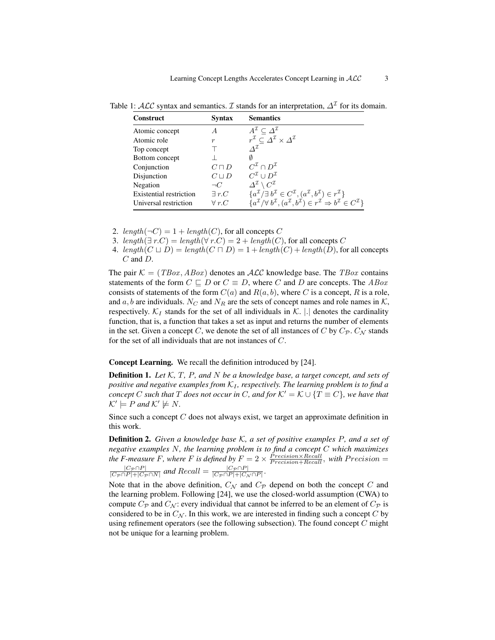| Construct                      | Syntax           | <b>Semantics</b>                                                                                                                                      |
|--------------------------------|------------------|-------------------------------------------------------------------------------------------------------------------------------------------------------|
| Atomic concept                 | A                | $A^{\mathcal{I}} \subset \Delta^{\mathcal{I}}$                                                                                                        |
| Atomic role                    | $\boldsymbol{r}$ | $r^{\mathcal{I}} \subseteq \varDelta^{\mathcal{I}} \times \varDelta^{\mathcal{I}}$                                                                    |
| Top concept                    |                  | $\Lambda^{\mathcal{I}}$                                                                                                                               |
| Bottom concept                 |                  |                                                                                                                                                       |
| Conjunction                    | $C\sqcap D$      | $C^{\mathcal{I}} \cap D^{\mathcal{I}}$                                                                                                                |
| Disjunction                    | $C \sqcup D$     | $C^{\mathcal{I}} \cup D^{\mathcal{I}}$                                                                                                                |
| Negation                       | $\neg C$         | $\Delta^{\mathcal{I}} \setminus C^{\mathcal{I}}$                                                                                                      |
| <b>Existential restriction</b> | $\exists r.C$    | ${a^{\mathcal{I}}}/{\exists b^{\mathcal{I}}} \in C^{\mathcal{I}}, (a^{\mathcal{I}}, b^{\mathcal{I}}) \in r^{\mathcal{I}}$                             |
| Universal restriction          | $\forall r.C$    | ${a^{\mathcal{I}}}/{\forall b^{\mathcal{I}}, (a^{\mathcal{I}}, b^{\mathcal{I}}) \in r^{\mathcal{I}} \Rightarrow b^{\mathcal{I}} \in C^{\mathcal{I}}}$ |

<span id="page-2-0"></span>Table 1:  $\mathcal{ALC}$  syntax and semantics.  $\mathcal I$  stands for an interpretation,  $\Delta^{\mathcal I}$  for its domain.

2. length( $\neg C$ ) = 1 + length(C), for all concepts C

3. length( $\exists r.C$ ) = length( $\forall r.C$ ) = 2 + length(C), for all concepts C

4. length( $C \sqcup D$ ) = length( $C \sqcap D$ ) = 1 + length( $C$ ) + length( $D$ ), for all concepts C and D.

The pair  $\mathcal{K} = (TBox, ABox)$  denotes an  $\mathcal{ALC}$  knowledge base. The  $TBox$  contains statements of the form  $C \subseteq D$  or  $C \equiv D$ , where C and D are concepts. The ABox consists of statements of the form  $C(a)$  and  $R(a, b)$ , where C is a concept, R is a role, and a, b are individuals. N<sub>C</sub> and N<sub>R</sub> are the sets of concept names and role names in K, respectively.  $\mathcal{K}_I$  stands for the set of all individuals in  $\mathcal{K}$ .  $|.|$  denotes the cardinality function, that is, a function that takes a set as input and returns the number of elements in the set. Given a concept C, we denote the set of all instances of C by  $C_{\mathcal{P}}$ ,  $C_{\mathcal{N}}$  stands for the set of all individuals that are not instances of C.

Concept Learning. We recall the definition introduced by [\[24\]](#page-16-4).

Definition 1. *Let* K*,* T*,* P*, and* N *be a knowledge base, a target concept, and sets of positive and negative examples from*  $K_I$ *, respectively. The learning problem is to find a concept* C such that T does not occur in C, and for  $K' = K \cup \{T \equiv C\}$ *, we have that*  $\mathcal{K}' \models P$  and  $\mathcal{K}' \not\models N$ .

<span id="page-2-1"></span>Since such a concept  $C$  does not always exist, we target an approximate definition in this work.

Definition 2. *Given a knowledge base* K*, a set of positive examples* P*, and a set of negative examples* N*, the learning problem is to find a concept* C *which maximizes the F-measure F, where F is defined by*  $F = 2 \times \frac{Precision \times Recall}{Precision + Recall}$ , *with Precision* =  $|C_{\mathcal{P}} \cap P|$  $\frac{|C_{\mathcal{P}} \cap P|}{|C_{\mathcal{P}} \cap P| + |C_{\mathcal{P}} \cap N|}$  and  $Recall = \frac{|C_{\mathcal{P}} \cap P|}{|C_{\mathcal{P}} \cap P| + |C_{\mathcal{P}}|}$  $\frac{|C_{\mathcal{P}} \cap P|}{|C_{\mathcal{P}} \cap P| + |C_{\mathcal{N}} \cap P|}$ 

Note that in the above definition,  $C_{\mathcal{N}}$  and  $C_{\mathcal{P}}$  depend on both the concept C and the learning problem. Following [\[24\]](#page-16-4), we use the closed-world assumption (CWA) to compute  $C_{\mathcal{P}}$  and  $C_{\mathcal{N}}$ : every individual that cannot be inferred to be an element of  $C_{\mathcal{P}}$  is considered to be in  $C_N$ . In this work, we are interested in finding such a concept C by using refinement operators (see the following subsection). The found concept  $C$  might not be unique for a learning problem.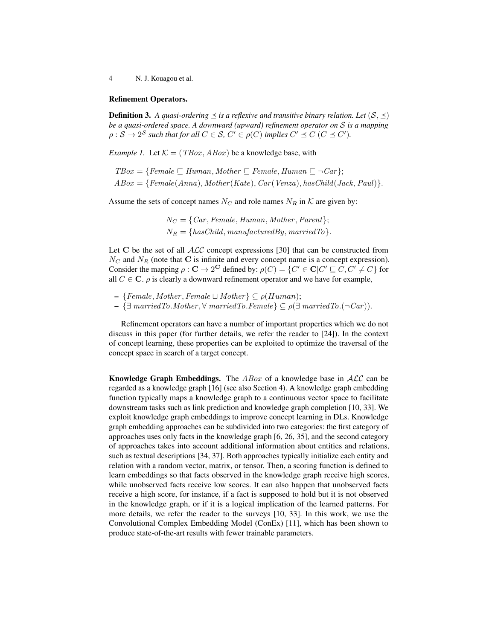#### Refinement Operators.

**Definition 3.** A quasi-ordering  $\leq$  is a reflexive and transitive binary relation. Let  $(S, \leq)$ *be a quasi-ordered space. A downward (upward) refinement operator on* S *is a mapping*  $\rho: \mathcal{S} \to 2^{\mathcal{S}}$  such that for all  $C \in \mathcal{S}$ ,  $C' \in \rho(C)$  implies  $C' \preceq C$  ( $C \preceq C'$ ).

*Example 1.* Let  $K = (TBox, ABox)$  be a knowledge base, with

 $TBox = \{Female \sqsubseteq Human, Mother \sqsubseteq Female, Human \sqsubseteq \neg Car\};\$  $ABox = {Female(Anna), Mother(Kate), Car(Venza), hasChild(Jack, Paul)}.$ 

Assume the sets of concept names  $N_C$  and role names  $N_R$  in K are given by:

 $N_C = \{Car, Female, Human, Mother, Parent\};\$  $N_B = \{hasChild, manufacturedBy, marriedTo\}.$ 

Let C be the set of all  $ALC$  concept expressions [\[30\]](#page-16-10) that can be constructed from  $N_C$  and  $N_R$  (note that C is infinite and every concept name is a concept expression). Consider the mapping  $\rho : \mathbf{C} \to 2^{\mathbf{C}}$  defined by:  $\rho(C) = \{C' \in \mathbf{C} | C' \sqsubseteq C, C' \neq C\}$  for all  $C \in \mathbb{C}$ .  $\rho$  is clearly a downward refinement operator and we have for example,

- $-$  {Female, Mother, Female  $\sqcup$  Mother}  $\subseteq \rho(Human);$
- $\{ \exists \text{ marriedTo.} Mother, ∀ \text{ marriedTo.} Female \} ⊆ ρ(∃ marriedTo.~Car)).$

Refinement operators can have a number of important properties which we do not discuss in this paper (for further details, we refer the reader to [\[24\]](#page-16-4)). In the context of concept learning, these properties can be exploited to optimize the traversal of the concept space in search of a target concept.

**Knowledge Graph Embeddings.** The  $ABox$  of a knowledge base in  $ALC$  can be regarded as a knowledge graph [\[16\]](#page-15-9) (see also Section [4\)](#page-4-1). A knowledge graph embedding function typically maps a knowledge graph to a continuous vector space to facilitate downstream tasks such as link prediction and knowledge graph completion [\[10,](#page-15-10) [33\]](#page-16-11). We exploit knowledge graph embeddings to improve concept learning in DLs. Knowledge graph embedding approaches can be subdivided into two categories: the first category of approaches uses only facts in the knowledge graph [\[6,](#page-15-11) [26,](#page-16-12) [35\]](#page-16-13), and the second category of approaches takes into account additional information about entities and relations, such as textual descriptions [\[34,](#page-16-14) [37\]](#page-17-0). Both approaches typically initialize each entity and relation with a random vector, matrix, or tensor. Then, a scoring function is defined to learn embeddings so that facts observed in the knowledge graph receive high scores, while unobserved facts receive low scores. It can also happen that unobserved facts receive a high score, for instance, if a fact is supposed to hold but it is not observed in the knowledge graph, or if it is a logical implication of the learned patterns. For more details, we refer the reader to the surveys [\[10,](#page-15-10) [33\]](#page-16-11). In this work, we use the Convolutional Complex Embedding Model (ConEx) [\[11\]](#page-15-12), which has been shown to produce state-of-the-art results with fewer trainable parameters.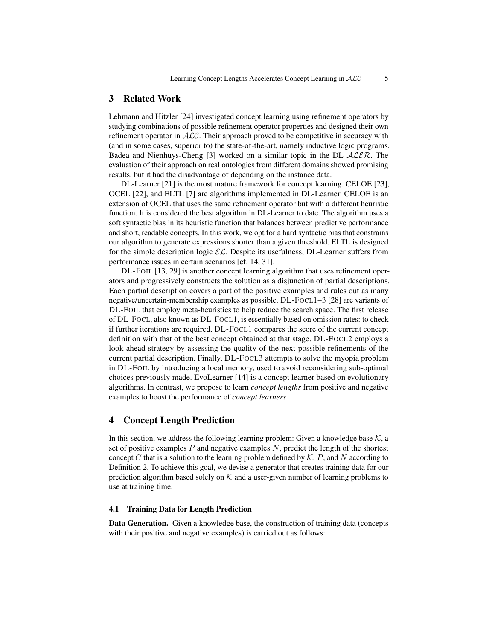#### <span id="page-4-0"></span>3 Related Work

Lehmann and Hitzler [\[24\]](#page-16-4) investigated concept learning using refinement operators by studying combinations of possible refinement operator properties and designed their own refinement operator in  $ALC$ . Their approach proved to be competitive in accuracy with (and in some cases, superior to) the state-of-the-art, namely inductive logic programs. Badea and Nienhuys-Cheng [\[3\]](#page-15-3) worked on a similar topic in the DL  $\mathcal{ALER}$ . The evaluation of their approach on real ontologies from different domains showed promising results, but it had the disadvantage of depending on the instance data.

DL-Learner [\[21\]](#page-16-15) is the most mature framework for concept learning. CELOE [\[23\]](#page-16-8), OCEL [\[22\]](#page-16-16), and ELTL [\[7\]](#page-15-7) are algorithms implemented in DL-Learner. CELOE is an extension of OCEL that uses the same refinement operator but with a different heuristic function. It is considered the best algorithm in DL-Learner to date. The algorithm uses a soft syntactic bias in its heuristic function that balances between predictive performance and short, readable concepts. In this work, we opt for a hard syntactic bias that constrains our algorithm to generate expressions shorter than a given threshold. ELTL is designed for the simple description logic  $\mathcal{EL}$ . Despite its usefulness, DL-Learner suffers from performance issues in certain scenarios [cf. [14,](#page-15-6) [31\]](#page-16-17).

DL-FOIL [\[13,](#page-15-4) [29\]](#page-16-7) is another concept learning algorithm that uses refinement operators and progressively constructs the solution as a disjunction of partial descriptions. Each partial description covers a part of the positive examples and rules out as many negative/uncertain-membership examples as possible. DL-FOCL1–3 [\[28\]](#page-16-6) are variants of DL-FOIL that employ meta-heuristics to help reduce the search space. The first release of DL-FOCL, also known as DL-FOCL1, is essentially based on omission rates: to check if further iterations are required, DL-FOCL1 compares the score of the current concept definition with that of the best concept obtained at that stage. DL-FOCL2 employs a look-ahead strategy by assessing the quality of the next possible refinements of the current partial description. Finally, DL-FOCL3 attempts to solve the myopia problem in DL-FOIL by introducing a local memory, used to avoid reconsidering sub-optimal choices previously made. EvoLearner [\[14\]](#page-15-6) is a concept learner based on evolutionary algorithms. In contrast, we propose to learn *concept lengths* from positive and negative examples to boost the performance of *concept learners*.

## <span id="page-4-1"></span>4 Concept Length Prediction

In this section, we address the following learning problem: Given a knowledge base  $K$ , a set of positive examples  $P$  and negative examples  $N$ , predict the length of the shortest concept  $C$  that is a solution to the learning problem defined by  $K$ ,  $P$ , and  $N$  according to Definition [2.](#page-2-1) To achieve this goal, we devise a generator that creates training data for our prediction algorithm based solely on  $K$  and a user-given number of learning problems to use at training time.

#### 4.1 Training Data for Length Prediction

<span id="page-4-2"></span>Data Generation. Given a knowledge base, the construction of training data (concepts with their positive and negative examples) is carried out as follows: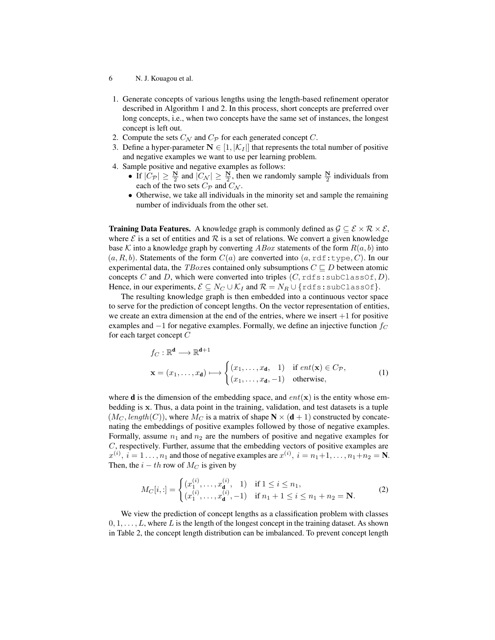- 6 N. J. Kouagou et al.
- 1. Generate concepts of various lengths using the length-based refinement operator described in Algorithm [1](#page-8-0) and [2.](#page-8-1) In this process, short concepts are preferred over long concepts, i.e., when two concepts have the same set of instances, the longest concept is left out.
- 2. Compute the sets  $C_{\mathcal{N}}$  and  $C_{\mathcal{P}}$  for each generated concept C.
- 3. Define a hyper-parameter  $N \in [1, |\mathcal{K}_I|]$  that represents the total number of positive and negative examples we want to use per learning problem.
- <span id="page-5-0"></span>4. Sample positive and negative examples as follows:
	- If  $|C_{\mathcal{P}}| \geq \frac{N}{2}$  and  $|C_{\mathcal{N}}| \geq \frac{N}{2}$ , then we randomly sample  $\frac{N}{2}$  individuals from each of the two sets  $C_{\mathcal{P}}$  and  $C_{\mathcal{N}}$ .
	- Otherwise, we take all individuals in the minority set and sample the remaining number of individuals from the other set.

**Training Data Features.** A knowledge graph is commonly defined as  $\mathcal{G} \subseteq \mathcal{E} \times \mathcal{R} \times \mathcal{E}$ , where  $\mathcal E$  is a set of entities and  $\mathcal R$  is a set of relations. We convert a given knowledge base K into a knowledge graph by converting  $ABox$  statements of the form  $R(a, b)$  into  $(a, R, b)$ . Statements of the form  $C(a)$  are converted into  $(a, \text{rdf:type}, C)$ . In our experimental data, the *TBox* es contained only subsumptions  $C \sqsubset D$  between atomic concepts C and D, which were converted into triples  $(C, \text{rdfs:subClassOf}, D)$ . Hence, in our experiments,  $\mathcal{E} \subseteq N_C \cup \mathcal{K}_I$  and  $\mathcal{R} = N_R \cup \{ \text{rdfs:subClassOf} \}.$ 

The resulting knowledge graph is then embedded into a continuous vector space to serve for the prediction of concept lengths. On the vector representation of entities, we create an extra dimension at the end of the entries, where we insert  $+1$  for positive examples and  $-1$  for negative examples. Formally, we define an injective function  $f_C$ for each target concept  $C$ 

$$
f_C: \mathbb{R}^d \longrightarrow \mathbb{R}^{d+1}
$$
  

$$
\mathbf{x} = (x_1, \dots, x_d) \longmapsto \begin{cases} (x_1, \dots, x_d, 1) & \text{if } ent(\mathbf{x}) \in C_{\mathcal{P}}, \\ (x_1, \dots, x_d, -1) & \text{otherwise,} \end{cases}
$$
 (1)

where **d** is the dimension of the embedding space, and  $ent(\mathbf{x})$  is the entity whose embedding is x. Thus, a data point in the training, validation, and test datasets is a tuple  $(M_C, length(C))$ , where  $M_C$  is a matrix of shape  $N \times (d+1)$  constructed by concatenating the embeddings of positive examples followed by those of negative examples. Formally, assume  $n_1$  and  $n_2$  are the numbers of positive and negative examples for C, respectively. Further, assume that the embedding vectors of positive examples are  $x^{(i)}$ ,  $i = 1 \dots, n_1$  and those of negative examples are  $x^{(i)}$ ,  $i = n_1 + 1, \dots, n_1 + n_2 = N$ . Then, the  $i - th$  row of  $M_C$  is given by

$$
M_C[i, :] = \begin{cases} (x_1^{(i)}, \dots, x_{\mathbf{d}}^{(i)}, 1) & \text{if } 1 \le i \le n_1, \\ (x_1^{(i)}, \dots, x_{\mathbf{d}}^{(i)}, -1) & \text{if } n_1 + 1 \le i \le n_1 + n_2 = \mathbf{N}. \end{cases}
$$
(2)

We view the prediction of concept lengths as a classification problem with classes  $0, 1, \ldots, L$ , where L is the length of the longest concept in the training dataset. As shown in Table [2,](#page-6-1) the concept length distribution can be imbalanced. To prevent concept length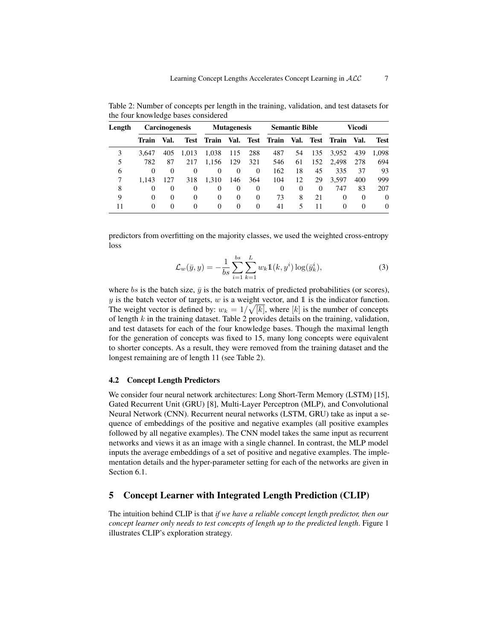| Length |       | <b>Carcinogenesis</b> |             |       | <b>Mutagenesis</b> |             |          | <b>Semantic Bible</b> |          |          | Vicodi   |             |
|--------|-------|-----------------------|-------------|-------|--------------------|-------------|----------|-----------------------|----------|----------|----------|-------------|
|        | Train | Val.                  | <b>Test</b> | Train | Val.               | <b>Test</b> | Train    | Val.                  | Test     | Train    | Val.     | <b>Test</b> |
| 3      | 3.647 | 405                   | 1.013       | 1.038 | 115                | 288         | 487      | 54                    | 135      | 3,952    | 439      | 1.098       |
| 5      | 782   | 87                    | 217         | 1.156 | 129                | 321         | 546      | 61                    | 152      | 2.498    | 278      | 694         |
| 6      | 0     | 0                     | $\Omega$    | 0     | $\theta$           | 0           | 162      | 18                    | 45       | 335      | 37       | 93          |
| 7      | 1.143 | 127                   | 318         | 1.310 | 146                | 364         | 104      | 12                    | 29       | 3.597    | 400      | 999         |
| 8      | 0     | $\Omega$              | $\Omega$    | 0     | 0                  | 0           | $\Omega$ | $\Omega$              | $\Omega$ | 747      | 83       | 207         |
| 9      | 0     | $\theta$              | $\Omega$    | 0     | $\theta$           | $\theta$    | 73       | 8                     | 21       | 0        | $\Omega$ | $\Omega$    |
| 11     | 0     | 0                     | 0           | 0     | $\Omega$           | $\Omega$    | 41       |                       | 11       | $\theta$ | 0        | 0           |

<span id="page-6-1"></span>Table 2: Number of concepts per length in the training, validation, and test datasets for the four knowledge bases considered

predictors from overfitting on the majority classes, we used the weighted cross-entropy loss

$$
\mathcal{L}_w(\bar{y}, y) = -\frac{1}{bs} \sum_{i=1}^{bs} \sum_{k=1}^{L} w_k \mathbb{1}(k, y^i) \log(\bar{y}_k^i), \tag{3}
$$

where bs is the batch size,  $\bar{y}$  is the batch matrix of predicted probabilities (or scores),  $y$  is the batch vector of targets,  $w$  is a weight vector, and 1 is the indicator function. The weight vector is defined by:  $w_k = 1/\sqrt{[k]}$ , where  $[k]$  is the number of concepts of length  $k$  in the training dataset. Table [2](#page-6-1) provides details on the training, validation, and test datasets for each of the four knowledge bases. Though the maximal length for the generation of concepts was fixed to 15, many long concepts were equivalent to shorter concepts. As a result, they were removed from the training dataset and the longest remaining are of length 11 (see Table [2\)](#page-6-1).

#### 4.2 Concept Length Predictors

We consider four neural network architectures: Long Short-Term Memory (LSTM) [\[15\]](#page-15-13), Gated Recurrent Unit (GRU) [\[8\]](#page-15-14), Multi-Layer Perceptron (MLP), and Convolutional Neural Network (CNN). Recurrent neural networks (LSTM, GRU) take as input a sequence of embeddings of the positive and negative examples (all positive examples followed by all negative examples). The CNN model takes the same input as recurrent networks and views it as an image with a single channel. In contrast, the MLP model inputs the average embeddings of a set of positive and negative examples. The implementation details and the hyper-parameter setting for each of the networks are given in Section [6.1.](#page-9-1)

## <span id="page-6-0"></span>5 Concept Learner with Integrated Length Prediction (CLIP)

The intuition behind CLIP is that *if we have a reliable concept length predictor, then our concept learner only needs to test concepts of length up to the predicted length*. Figure [1](#page-7-0) illustrates CLIP's exploration strategy.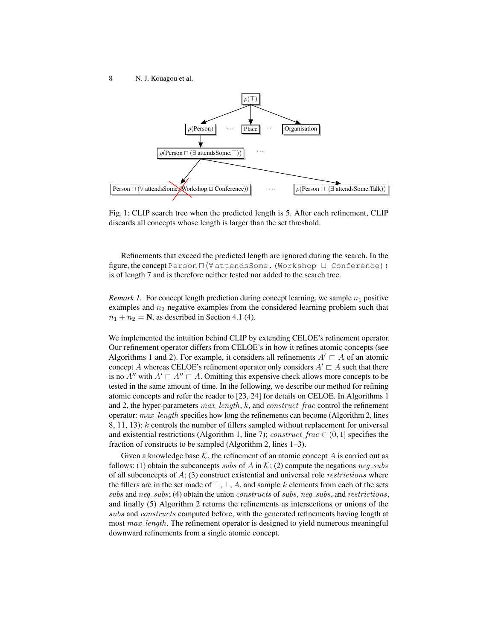<span id="page-7-0"></span>

Fig. 1: CLIP search tree when the predicted length is 5. After each refinement, CLIP discards all concepts whose length is larger than the set threshold.

Refinements that exceed the predicted length are ignored during the search. In the figure, the concept Person  $\Pi$  ( $\forall$  attends Some. (Workshop  $\Box$  Conference)) is of length 7 and is therefore neither tested nor added to the search tree.

*Remark 1.* For concept length prediction during concept learning, we sample  $n_1$  positive examples and  $n_2$  negative examples from the considered learning problem such that  $n_1 + n_2 = N$ , as described in Section [4.1](#page-4-2) [\(4\)](#page-5-0).

We implemented the intuition behind CLIP by extending CELOE's refinement operator. Our refinement operator differs from CELOE's in how it refines atomic concepts (see Algorithms [1](#page-8-0) and [2\)](#page-8-1). For example, it considers all refinements  $A' \sqsubset A$  of an atomic concept A whereas CELOE's refinement operator only considers  $A' \sqsubset A$  such that there is no  $A''$  with  $A' \sqsubset A'' \sqsubset A$ . Omitting this expensive check allows more concepts to be tested in the same amount of time. In the following, we describe our method for refining atomic concepts and refer the reader to [\[23,](#page-16-8) [24\]](#page-16-4) for details on CELOE. In Algorithms [1](#page-8-0) and [2,](#page-8-1) the hyper-parameters  $max\_length$ , k, and  $construct\_frac$  control the refinement operator:  $max\_length$  specifies how long the refinements can become (Algorithm [2,](#page-8-1) lines  $8, 11, 13$ ; k controls the number of fillers sampled without replacement for universal and existential restrictions (Algorithm [1,](#page-8-0) line 7); construct\_frac  $\in (0, 1]$  specifies the fraction of constructs to be sampled (Algorithm [2,](#page-8-1) lines 1–3).

Given a knowledge base  $K$ , the refinement of an atomic concept  $A$  is carried out as follows: (1) obtain the subconcepts subs of A in K; (2) compute the negations  $neg\_subs$ of all subconcepts of  $A$ ; (3) construct existential and universal role *restrictions* where the fillers are in the set made of  $\top$ ,  $\bot$ , A, and sample k elements from each of the sets subs and  $neg\_subs$ ; (4) obtain the union constructs of subs, neg<sub>-subs</sub>, and restrictions, and finally (5) Algorithm [2](#page-8-1) returns the refinements as intersections or unions of the subs and *constructs* computed before, with the generated refinements having length at most max\_length. The refinement operator is designed to yield numerous meaningful downward refinements from a single atomic concept.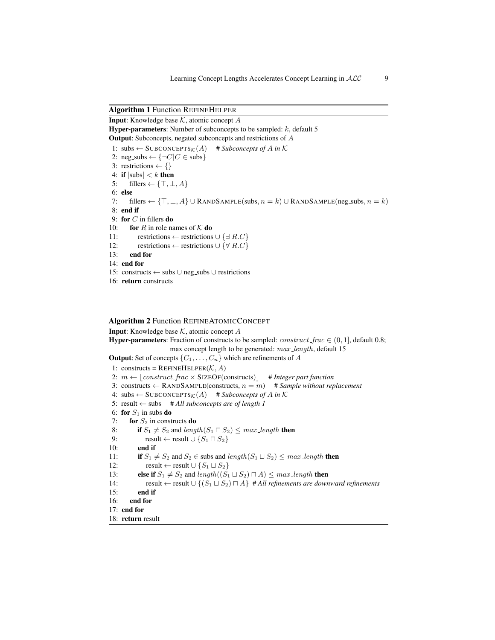#### <span id="page-8-0"></span>Algorithm 1 Function REFINEHELPER

**Input:** Knowledge base  $K$ , atomic concept  $A$ **Hyper-parameters:** Number of subconcepts to be sampled:  $k$ , default 5 Output: Subconcepts, negated subconcepts and restrictions of A 1: subs  $\leftarrow$  SUBCONCEPTS<sub>K</sub>(A) # *Subconcepts of A in* K 2: neg\_subs  $\leftarrow \{\neg C|C \in \text{subs}\}\$ 3: restrictions  $\leftarrow \{\}$ 4: if  $|{\rm subs}| < k$  then 5: fillers  $\leftarrow \{\top, \bot, A\}$ 6: else 7: fillers ←  $\{\top, \bot, A\} \cup$  RANDSAMPLE(subs,  $n = k$ )  $\cup$  RANDSAMPLE(neg\_subs,  $n = k$ ) 8: end if 9: for  $C$  in fillers do 10: **for** R in role names of K **do** 11: restrictions ← restrictions  $\cup \{ \exists R.C \}$ 12: restrictions ← restrictions  $\cup \{ \forall R.C \}$ 13: end for 14: end for 15: constructs ← subs ∪ neg subs ∪ restrictions 16: return constructs

## <span id="page-8-1"></span>Algorithm 2 Function REFINEATOMICCONCEPT

**Input:** Knowledge base  $K$ , atomic concept  $A$ **Hyper-parameters:** Fraction of constructs to be sampled: *construct\_frac*  $\in$  (0, 1], default 0.8; max concept length to be generated:  $max$ -length, default 15 **Output:** Set of concepts  $\{C_1, \ldots, C_n\}$  which are refinements of A 1: constructs =  $REFINEHELPER(K, A)$ 2:  $m \leftarrow |\mathit{construct\_frac} \times \text{SIZEOf}(\text{constructs})|$  # *Integer part function* 3: constructs  $\leftarrow$  RANDSAMPLE(constructs,  $n = m$ ) # *Sample without replacement* 4: subs  $\leftarrow$  SUBCONCEPTS<sub>K</sub>(A) # *Subconcepts of A in* K 5: result ← subs # *All subconcepts are of length 1* 6: for  $S_1$  in subs do 7: for  $S_2$  in constructs do 8: if  $S_1 \neq S_2$  and length( $S_1 \sqcap S_2$ )  $\leq$  max length then 9: result ← result  $\cup$   $\{S_1 \sqcap S_2\}$ 10: end if 11: if  $S_1 \neq S_2$  and  $S_2 \in$  subs and length( $S_1 \sqcup S_2$ )  $\leq$  max length then 12: result ← result  $\cup$   $\{S_1 \sqcup S_2\}$ 13: **else if**  $S_1 \neq S_2$  and length $((S_1 \sqcup S_2) \sqcap A) \leq max$  length **then** 14: result ← result  $\cup$  {( $S_1 \sqcup S_2$ )  $\sqcap$  A} # *All refinements are downward refinements* 15: end if 16: end for 17: end for 18: return result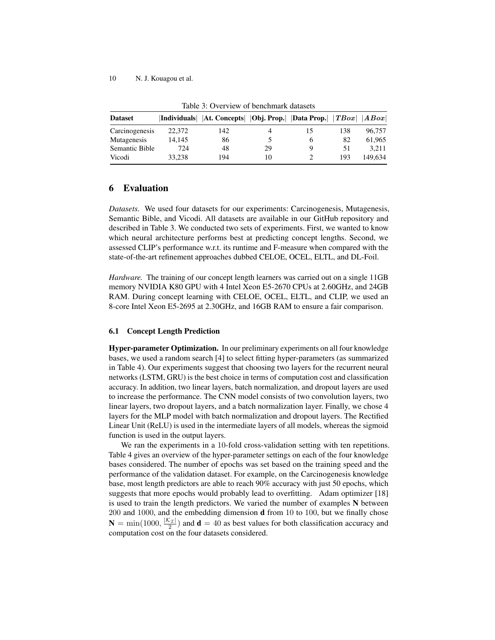<span id="page-9-2"></span>

| <b>Dataset</b> |        | Individuals   At. Concepts   Obj. Prop.   Data Prop. |    |     | TBox | ABox    |
|----------------|--------|------------------------------------------------------|----|-----|------|---------|
| Carcinogenesis | 22,372 | 142                                                  |    | LD. | 138  | 96.757  |
| Mutagenesis    | 14.145 | 86                                                   |    |     | 82   | 61.965  |
| Semantic Bible | 724    | 48                                                   | 29 |     | 51   | 3.211   |
| Vicodi         | 33.238 | 194                                                  | 10 |     | 193  | 149.634 |

Table 3: Overview of benchmark datasets

## <span id="page-9-0"></span>6 Evaluation

*Datasets.* We used four datasets for our experiments: Carcinogenesis, Mutagenesis, Semantic Bible, and Vicodi. All datasets are available in our GitHub repository and described in Table [3.](#page-9-2) We conducted two sets of experiments. First, we wanted to know which neural architecture performs best at predicting concept lengths. Second, we assessed CLIP's performance w.r.t. its runtime and F-measure when compared with the state-of-the-art refinement approaches dubbed CELOE, OCEL, ELTL, and DL-Foil.

<span id="page-9-3"></span>*Hardware.* The training of our concept length learners was carried out on a single 11GB memory NVIDIA K80 GPU with 4 Intel Xeon E5-2670 CPUs at 2.60GHz, and 24GB RAM. During concept learning with CELOE, OCEL, ELTL, and CLIP, we used an 8-core Intel Xeon E5-2695 at 2.30GHz, and 16GB RAM to ensure a fair comparison.

#### <span id="page-9-1"></span>6.1 Concept Length Prediction

Hyper-parameter Optimization. In our preliminary experiments on all four knowledge bases, we used a random search [\[4\]](#page-15-15) to select fitting hyper-parameters (as summarized in Table [4\)](#page-10-0). Our experiments suggest that choosing two layers for the recurrent neural networks (LSTM, GRU) is the best choice in terms of computation cost and classification accuracy. In addition, two linear layers, batch normalization, and dropout layers are used to increase the performance. The CNN model consists of two convolution layers, two linear layers, two dropout layers, and a batch normalization layer. Finally, we chose 4 layers for the MLP model with batch normalization and dropout layers. The Rectified Linear Unit (ReLU) is used in the intermediate layers of all models, whereas the sigmoid function is used in the output layers.

We ran the experiments in a 10-fold cross-validation setting with ten repetitions. Table [4](#page-10-0) gives an overview of the hyper-parameter settings on each of the four knowledge bases considered. The number of epochs was set based on the training speed and the performance of the validation dataset. For example, on the Carcinogenesis knowledge base, most length predictors are able to reach 90% accuracy with just 50 epochs, which suggests that more epochs would probably lead to overfitting. Adam optimizer [\[18\]](#page-16-18) is used to train the length predictors. We varied the number of examples N between 200 and 1000, and the embedding dimension d from 10 to 100, but we finally chose  $N = min(1000, \frac{|\mathcal{K}_\mathcal{I}|}{2})$  and  $d = 40$  as best values for both classification accuracy and computation cost on the four datasets considered.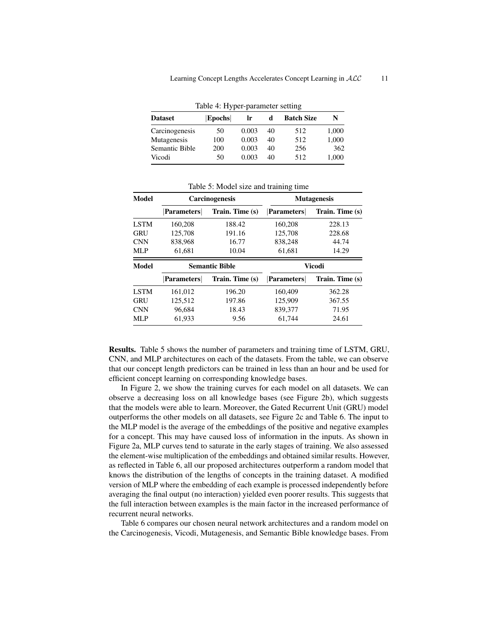<span id="page-10-0"></span>

|                | Table 4: Hyper-parameter setting |       |    |                   |       |
|----------------|----------------------------------|-------|----|-------------------|-------|
| <b>Dataset</b> | <b>Epochs</b>                    | Ir    | d  | <b>Batch Size</b> | N     |
| Carcinogenesis | 50                               | 0.003 | 40 | 512               | 1,000 |
| Mutagenesis    | 100                              | 0.003 | 40 | 512               | 1,000 |
| Semantic Bible | 200                              | 0.003 | 40 | 256               | 362   |
| Vicodi         | 50                               | 0.003 | 40 | 512               | 1,000 |

<span id="page-10-1"></span>

| Model       |                   | <b>Carcinogenesis</b> | <b>Mutagenesis</b> |                 |  |  |
|-------------|-------------------|-----------------------|--------------------|-----------------|--|--|
|             | <b>Parameters</b> | Train. Time (s)       | Parameters         | Train. Time (s) |  |  |
| <b>LSTM</b> | 160,208           | 188.42                | 160,208            | 228.13          |  |  |
| GRU         | 125,708           | 191.16                | 125,708            | 228.68          |  |  |
| <b>CNN</b>  | 838,968           | 16.77                 | 838,248            | 44.74           |  |  |
| MLP         | 61,681            | 10.04                 | 61,681             | 14.29           |  |  |
|             |                   |                       |                    |                 |  |  |
| Model       |                   | <b>Semantic Bible</b> |                    | Vicodi          |  |  |
|             | <b>Parameters</b> | Train. Time (s)       | Parameters         | Train. Time (s) |  |  |
| <b>LSTM</b> | 161.012           | 196.20                | 160,409            | 362.28          |  |  |
| <b>GRU</b>  | 125.512           | 197.86                | 125,909            | 367.55          |  |  |
| <b>CNN</b>  | 96,684            | 18.43                 | 839,377            | 71.95           |  |  |

Table 5: Model size and training time

Results. Table [5](#page-10-1) shows the number of parameters and training time of LSTM, GRU, CNN, and MLP architectures on each of the datasets. From the table, we can observe that our concept length predictors can be trained in less than an hour and be used for efficient concept learning on corresponding knowledge bases.

In Figure [2,](#page-11-0) we show the training curves for each model on all datasets. We can observe a decreasing loss on all knowledge bases (see Figure [2b\)](#page-11-0), which suggests that the models were able to learn. Moreover, the Gated Recurrent Unit (GRU) model outperforms the other models on all datasets, see Figure [2c](#page-11-0) and Table [6.](#page-12-0) The input to the MLP model is the average of the embeddings of the positive and negative examples for a concept. This may have caused loss of information in the inputs. As shown in Figure [2a,](#page-11-0) MLP curves tend to saturate in the early stages of training. We also assessed the element-wise multiplication of the embeddings and obtained similar results. However, as reflected in Table [6,](#page-12-0) all our proposed architectures outperform a random model that knows the distribution of the lengths of concepts in the training dataset. A modified version of MLP where the embedding of each example is processed independently before averaging the final output (no interaction) yielded even poorer results. This suggests that the full interaction between examples is the main factor in the increased performance of recurrent neural networks.

Table [6](#page-12-0) compares our chosen neural network architectures and a random model on the Carcinogenesis, Vicodi, Mutagenesis, and Semantic Bible knowledge bases. From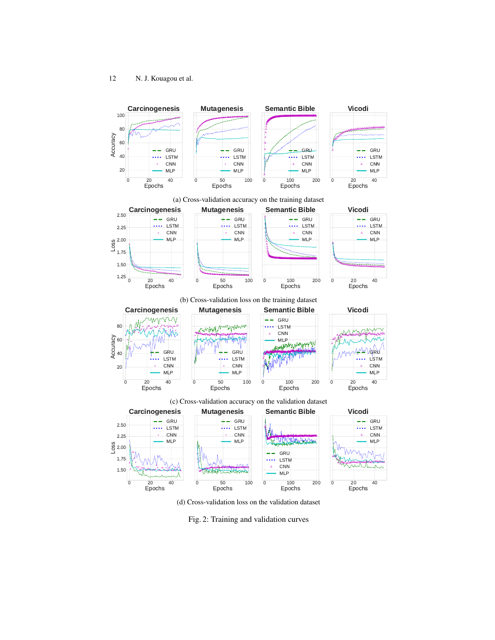<span id="page-11-0"></span>

(d) Cross-validation loss on the validation dataset

Fig. 2: Training and validation curves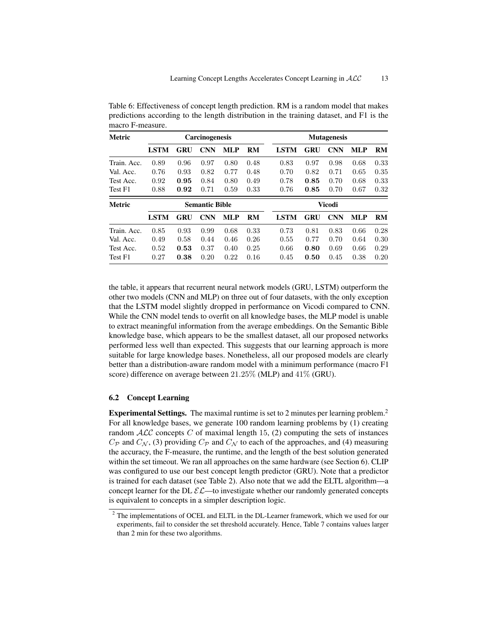| Metric        |             |      | <b>Carcinogenesis</b> |            |           |             |            | <b>Mutagenesis</b> |            |      |
|---------------|-------------|------|-----------------------|------------|-----------|-------------|------------|--------------------|------------|------|
|               | <b>LSTM</b> | GRU  | <b>CNN</b>            | <b>MLP</b> | <b>RM</b> | <b>LSTM</b> | GRU        | <b>CNN</b>         | <b>MLP</b> | RM   |
| Train. Acc.   | 0.89        | 0.96 | 0.97                  | 0.80       | 0.48      | 0.83        | 0.97       | 0.98               | 0.68       | 0.33 |
| Val. Acc.     | 0.76        | 0.93 | 0.82                  | 0.77       | 0.48      | 0.70        | 0.82       | 0.71               | 0.65       | 0.35 |
| Test Acc.     | 0.92        | 0.95 | 0.84                  | 0.80       | 0.49      | 0.78        | 0.85       | 0.70               | 0.68       | 0.33 |
| Test F1       | 0.88        | 0.92 | 0.71                  | 0.59       | 0.33      | 0.76        | 0.85       | 0.70               | 0.67       | 0.32 |
| <b>Metric</b> |             |      | <b>Semantic Bible</b> |            |           |             |            | Vicodi             |            |      |
|               | <b>LSTM</b> | GRU  | <b>CNN</b>            | <b>MLP</b> | <b>RM</b> | <b>LSTM</b> | <b>GRU</b> | <b>CNN</b>         | <b>MLP</b> | RM   |
| Train. Acc.   | 0.85        | 0.93 | 0.99                  | 0.68       | 0.33      | 0.73        | 0.81       | 0.83               | 0.66       | 0.28 |
| Val. Acc.     | 0.49        | 0.58 | 0.44                  | 0.46       | 0.26      | 0.55        | 0.77       | 0.70               | 0.64       | 0.30 |
| Test Acc.     | 0.52        | 0.53 | 0.37                  | 0.40       | 0.25      | 0.66        | 0.80       | 0.69               | 0.66       | 0.29 |
| Test F1       | 0.27        | 0.38 | 0.20                  | 0.22       | 0.16      | 0.45        | 0.50       | 0.45               | 0.38       | 0.20 |

<span id="page-12-0"></span>Table 6: Effectiveness of concept length prediction. RM is a random model that makes predictions according to the length distribution in the training dataset, and F1 is the macro F-measure.

the table, it appears that recurrent neural network models (GRU, LSTM) outperform the other two models (CNN and MLP) on three out of four datasets, with the only exception that the LSTM model slightly dropped in performance on Vicodi compared to CNN. While the CNN model tends to overfit on all knowledge bases, the MLP model is unable to extract meaningful information from the average embeddings. On the Semantic Bible knowledge base, which appears to be the smallest dataset, all our proposed networks performed less well than expected. This suggests that our learning approach is more suitable for large knowledge bases. Nonetheless, all our proposed models are clearly better than a distribution-aware random model with a minimum performance (macro F1 score) difference on average between 21.25% (MLP) and 41% (GRU).

### 6.2 Concept Learning

Experimental Settings. The maximal runtime is set to [2](#page-12-1) minutes per learning problem.<sup>2</sup> For all knowledge bases, we generate 100 random learning problems by (1) creating random  $ALC$  concepts C of maximal length 15, (2) computing the sets of instances  $C_{\mathcal{P}}$  and  $C_{\mathcal{N}}$ , (3) providing  $C_{\mathcal{P}}$  and  $C_{\mathcal{N}}$  to each of the approaches, and (4) measuring the accuracy, the F-measure, the runtime, and the length of the best solution generated within the set timeout. We ran all approaches on the same hardware (see Section [6\)](#page-9-3). CLIP was configured to use our best concept length predictor (GRU). Note that a predictor is trained for each dataset (see Table [2\)](#page-6-1). Also note that we add the ELTL algorithm—a concept learner for the DL  $\mathcal{EL}-$ to investigate whether our randomly generated concepts is equivalent to concepts in a simpler description logic.

<span id="page-12-1"></span><sup>&</sup>lt;sup>2</sup> The implementations of OCEL and ELTL in the DL-Learner framework, which we used for our experiments, fail to consider the set threshold accurately. Hence, Table [7](#page-13-0) contains values larger than 2 min for these two algorithms.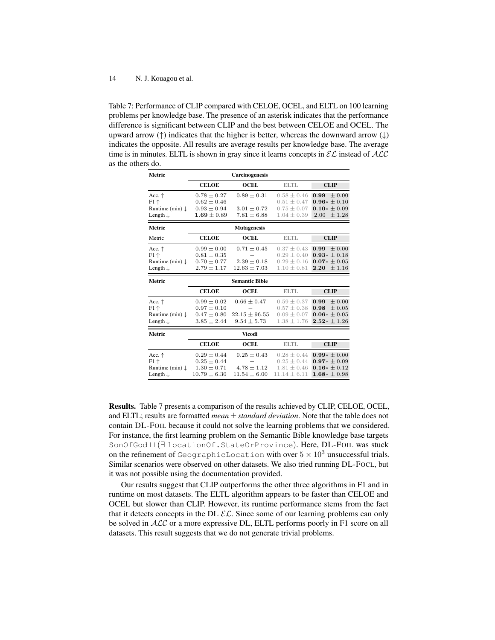<span id="page-13-0"></span>Table 7: Performance of CLIP compared with CELOE, OCEL, and ELTL on 100 learning problems per knowledge base. The presence of an asterisk indicates that the performance difference is significant between CLIP and the best between CELOE and OCEL. The upward arrow (↑) indicates that the higher is better, whereas the downward arrow (↓) indicates the opposite. All results are average results per knowledge base. The average time is in minutes. ELTL is shown in gray since it learns concepts in  $\mathcal{EL}$  instead of  $\mathcal{ALC}$ as the others do.

| Metric                                                                                |                                                                          | <b>Carcinogenesis</b>                                   |                                                                          |                                                                                  |
|---------------------------------------------------------------------------------------|--------------------------------------------------------------------------|---------------------------------------------------------|--------------------------------------------------------------------------|----------------------------------------------------------------------------------|
|                                                                                       | <b>CELOE</b>                                                             | <b>OCEL</b>                                             | <b>ELTL</b>                                                              | <b>CLIP</b>                                                                      |
| Acc. $\uparrow$<br>$F1 \uparrow$<br>Runtime (min) $\downarrow$<br>Length $\downarrow$ | $0.78 \pm 0.27$<br>$0.62 \pm 0.46$<br>$0.93 \pm 0.94$<br>$1.69 \pm 0.89$ | $0.89 \pm 0.31$<br>$3.01 \pm 0.72$<br>$7.81 \pm 6.88$   | $0.58 \pm 0.46$<br>$0.51 + 0.47$<br>$0.75 \pm 0.07$<br>$1.04 \pm 0.39$   | $\pm 0.00$<br>0.99<br>$0.96* \pm 0.10$<br>$0.10* \pm 0.09$<br>2.00<br>± 1.28     |
| Metric                                                                                |                                                                          | <b>Mutagenesis</b>                                      |                                                                          |                                                                                  |
| Metric                                                                                | <b>CELOE</b>                                                             | OCEL.                                                   | ELTL                                                                     | <b>CLIP</b>                                                                      |
| Acc. $\uparrow$<br>$F1 \uparrow$<br>Runtime (min) $\downarrow$<br>Length $\downarrow$ | $0.99 \pm 0.00$<br>$0.81 \pm 0.35$<br>$0.70 \pm 0.77$<br>$2.79 \pm 1.17$ | $0.71 \pm 0.45$<br>$2.39 \pm 0.18$<br>$12.63 \pm 7.03$  | $0.37 + 0.43$<br>$0.29 \pm 0.40$<br>$0.29 \pm 0.16$<br>$1.10 \pm 0.81$   | $+0.00$<br>0.99<br>$0.93* \pm 0.18$<br>$0.07 * \pm 0.05$<br>± 1.16<br>2.20       |
|                                                                                       |                                                                          |                                                         |                                                                          |                                                                                  |
| Metric                                                                                |                                                                          | <b>Semantic Bible</b>                                   |                                                                          |                                                                                  |
|                                                                                       | <b>CELOE</b>                                                             | <b>OCEL</b>                                             | ELTL                                                                     | <b>CLIP</b>                                                                      |
| Acc. $\uparrow$<br>$F1 \uparrow$<br>Runtime (min) $\downarrow$<br>Length $\downarrow$ | $0.99 \pm 0.02$<br>$0.97 \pm 0.10$<br>$0.47 \pm 0.80$<br>$3.85 \pm 2.44$ | $0.66 \pm 0.47$<br>$22.15 \pm 96.55$<br>$9.54 \pm 5.73$ | $0.59 \pm 0.37$<br>$0.57 \pm 0.38$<br>$0.09 \pm 0.07$<br>$1.38 \pm 1.76$ | $\pm 0.00$<br>0.99<br>0.98<br>$\pm 0.05$<br>$0.06* \pm 0.05$<br>$2.52* \pm 1.26$ |
| Metric                                                                                |                                                                          | Vicodi                                                  |                                                                          |                                                                                  |
|                                                                                       | <b>CELOE</b>                                                             | <b>OCEL</b>                                             | ELTL                                                                     | <b>CLIP</b>                                                                      |

Results. Table [7](#page-13-0) presents a comparison of the results achieved by CLIP, CELOE, OCEL, and ELTL; results are formatted *mean* ± *standard deviation*. Note that the table does not contain DL-FOIL because it could not solve the learning problems that we considered. For instance, the first learning problem on the Semantic Bible knowledge base targets SonOfGod ⊔ (∃ locationOf.StateOrProvince). Here, DL-FOIL was stuck on the refinement of GeographicLocation with over  $5 \times 10^3$  unsuccessful trials. Similar scenarios were observed on other datasets. We also tried running DL-FOCL, but it was not possible using the documentation provided.

Our results suggest that CLIP outperforms the other three algorithms in F1 and in runtime on most datasets. The ELTL algorithm appears to be faster than CELOE and OCEL but slower than CLIP. However, its runtime performance stems from the fact that it detects concepts in the DL  $\mathcal{EL}$ . Since some of our learning problems can only be solved in  $ALC$  or a more expressive DL, ELTL performs poorly in F1 score on all datasets. This result suggests that we do not generate trivial problems.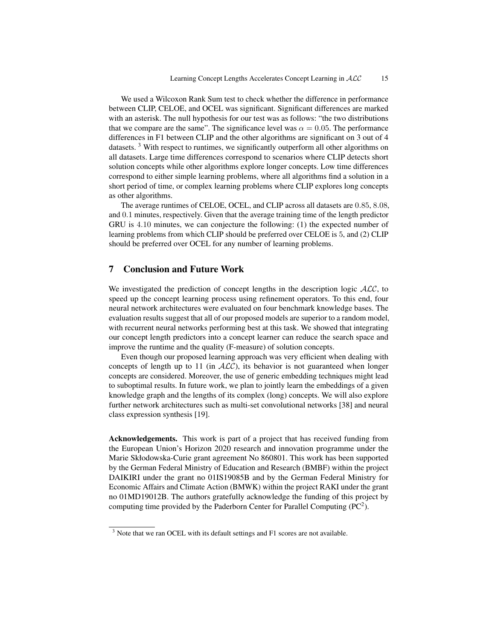We used a Wilcoxon Rank Sum test to check whether the difference in performance between CLIP, CELOE, and OCEL was significant. Significant differences are marked with an asterisk. The null hypothesis for our test was as follows: "the two distributions that we compare are the same". The significance level was  $\alpha = 0.05$ . The performance differences in F1 between CLIP and the other algorithms are significant on 3 out of 4 datasets.  $3$  With respect to runtimes, we significantly outperform all other algorithms on all datasets. Large time differences correspond to scenarios where CLIP detects short solution concepts while other algorithms explore longer concepts. Low time differences correspond to either simple learning problems, where all algorithms find a solution in a short period of time, or complex learning problems where CLIP explores long concepts as other algorithms.

The average runtimes of CELOE, OCEL, and CLIP across all datasets are 0.85, 8.08, and 0.1 minutes, respectively. Given that the average training time of the length predictor GRU is 4.10 minutes, we can conjecture the following: (1) the expected number of learning problems from which CLIP should be preferred over CELOE is 5, and (2) CLIP should be preferred over OCEL for any number of learning problems.

## <span id="page-14-0"></span>7 Conclusion and Future Work

We investigated the prediction of concept lengths in the description logic  $ALC$ , to speed up the concept learning process using refinement operators. To this end, four neural network architectures were evaluated on four benchmark knowledge bases. The evaluation results suggest that all of our proposed models are superior to a random model, with recurrent neural networks performing best at this task. We showed that integrating our concept length predictors into a concept learner can reduce the search space and improve the runtime and the quality (F-measure) of solution concepts.

Even though our proposed learning approach was very efficient when dealing with concepts of length up to 11 (in  $ALC$ ), its behavior is not guaranteed when longer concepts are considered. Moreover, the use of generic embedding techniques might lead to suboptimal results. In future work, we plan to jointly learn the embeddings of a given knowledge graph and the lengths of its complex (long) concepts. We will also explore further network architectures such as multi-set convolutional networks [\[38\]](#page-17-1) and neural class expression synthesis [\[19\]](#page-16-19).

Acknowledgements. This work is part of a project that has received funding from the European Union's Horizon 2020 research and innovation programme under the Marie Skłodowska-Curie grant agreement No 860801. This work has been supported by the German Federal Ministry of Education and Research (BMBF) within the project DAIKIRI under the grant no 01IS19085B and by the German Federal Ministry for Economic Affairs and Climate Action (BMWK) within the project RAKI under the grant no 01MD19012B. The authors gratefully acknowledge the funding of this project by computing time provided by the Paderborn Center for Parallel Computing  $(PC<sup>2</sup>)$ .

<span id="page-14-1"></span><sup>&</sup>lt;sup>3</sup> Note that we ran OCEL with its default settings and F1 scores are not available.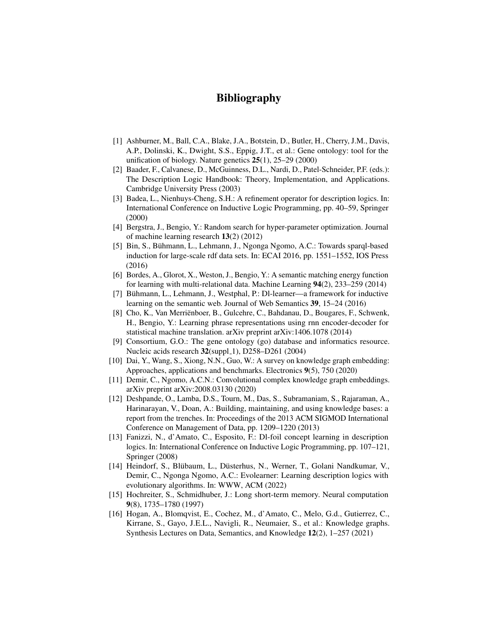## Bibliography

- <span id="page-15-1"></span>[1] Ashburner, M., Ball, C.A., Blake, J.A., Botstein, D., Butler, H., Cherry, J.M., Davis, A.P., Dolinski, K., Dwight, S.S., Eppig, J.T., et al.: Gene ontology: tool for the unification of biology. Nature genetics 25(1), 25–29 (2000)
- <span id="page-15-8"></span>[2] Baader, F., Calvanese, D., McGuinness, D.L., Nardi, D., Patel-Schneider, P.F. (eds.): The Description Logic Handbook: Theory, Implementation, and Applications. Cambridge University Press (2003)
- <span id="page-15-3"></span>[3] Badea, L., Nienhuys-Cheng, S.H.: A refinement operator for description logics. In: International Conference on Inductive Logic Programming, pp. 40–59, Springer (2000)
- <span id="page-15-15"></span>[4] Bergstra, J., Bengio, Y.: Random search for hyper-parameter optimization. Journal of machine learning research 13(2) (2012)
- <span id="page-15-5"></span>[5] Bin, S., Buhmann, L., Lehmann, J., Ngonga Ngomo, A.C.: Towards sparql-based ¨ induction for large-scale rdf data sets. In: ECAI 2016, pp. 1551–1552, IOS Press (2016)
- <span id="page-15-11"></span>[6] Bordes, A., Glorot, X., Weston, J., Bengio, Y.: A semantic matching energy function for learning with multi-relational data. Machine Learning 94(2), 233–259 (2014)
- <span id="page-15-7"></span>[7] Bühmann, L., Lehmann, J., Westphal, P.: Dl-learner—a framework for inductive learning on the semantic web. Journal of Web Semantics 39, 15–24 (2016)
- <span id="page-15-14"></span>[8] Cho, K., Van Merriënboer, B., Gulcehre, C., Bahdanau, D., Bougares, F., Schwenk, H., Bengio, Y.: Learning phrase representations using rnn encoder-decoder for statistical machine translation. arXiv preprint arXiv:1406.1078 (2014)
- <span id="page-15-2"></span>[9] Consortium, G.O.: The gene ontology (go) database and informatics resource. Nucleic acids research  $32$ (suppl 1), D258–D261 (2004)
- <span id="page-15-10"></span>[10] Dai, Y., Wang, S., Xiong, N.N., Guo, W.: A survey on knowledge graph embedding: Approaches, applications and benchmarks. Electronics 9(5), 750 (2020)
- <span id="page-15-12"></span>[11] Demir, C., Ngomo, A.C.N.: Convolutional complex knowledge graph embeddings. arXiv preprint arXiv:2008.03130 (2020)
- <span id="page-15-0"></span>[12] Deshpande, O., Lamba, D.S., Tourn, M., Das, S., Subramaniam, S., Rajaraman, A., Harinarayan, V., Doan, A.: Building, maintaining, and using knowledge bases: a report from the trenches. In: Proceedings of the 2013 ACM SIGMOD International Conference on Management of Data, pp. 1209–1220 (2013)
- <span id="page-15-4"></span>[13] Fanizzi, N., d'Amato, C., Esposito, F.: Dl-foil concept learning in description logics. In: International Conference on Inductive Logic Programming, pp. 107–121, Springer (2008)
- <span id="page-15-6"></span>[14] Heindorf, S., Blübaum, L., Düsterhus, N., Werner, T., Golani Nandkumar, V., Demir, C., Ngonga Ngomo, A.C.: Evolearner: Learning description logics with evolutionary algorithms. In: WWW, ACM (2022)
- <span id="page-15-13"></span>[15] Hochreiter, S., Schmidhuber, J.: Long short-term memory. Neural computation 9(8), 1735–1780 (1997)
- <span id="page-15-9"></span>[16] Hogan, A., Blomqvist, E., Cochez, M., d'Amato, C., Melo, G.d., Gutierrez, C., Kirrane, S., Gayo, J.E.L., Navigli, R., Neumaier, S., et al.: Knowledge graphs. Synthesis Lectures on Data, Semantics, and Knowledge 12(2), 1–257 (2021)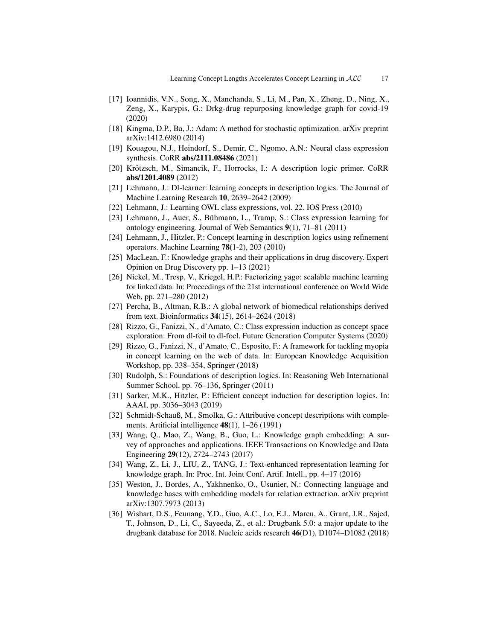- <span id="page-16-2"></span>[17] Ioannidis, V.N., Song, X., Manchanda, S., Li, M., Pan, X., Zheng, D., Ning, X., Zeng, X., Karypis, G.: Drkg-drug repurposing knowledge graph for covid-19 (2020)
- <span id="page-16-18"></span>[18] Kingma, D.P., Ba, J.: Adam: A method for stochastic optimization. arXiv preprint arXiv:1412.6980 (2014)
- <span id="page-16-19"></span>[19] Kouagou, N.J., Heindorf, S., Demir, C., Ngomo, A.N.: Neural class expression synthesis. CoRR abs/2111.08486 (2021)
- <span id="page-16-9"></span>[20] Krötzsch, M., Simancik, F., Horrocks, I.: A description logic primer. CoRR abs/1201.4089 (2012)
- <span id="page-16-15"></span>[21] Lehmann, J.: Dl-learner: learning concepts in description logics. The Journal of Machine Learning Research 10, 2639–2642 (2009)
- <span id="page-16-16"></span>[22] Lehmann, J.: Learning OWL class expressions, vol. 22. IOS Press (2010)
- <span id="page-16-8"></span>[23] Lehmann, J., Auer, S., Bühmann, L., Tramp, S.: Class expression learning for ontology engineering. Journal of Web Semantics 9(1), 71–81 (2011)
- <span id="page-16-4"></span>[24] Lehmann, J., Hitzler, P.: Concept learning in description logics using refinement operators. Machine Learning 78(1-2), 203 (2010)
- <span id="page-16-3"></span>[25] MacLean, F.: Knowledge graphs and their applications in drug discovery. Expert Opinion on Drug Discovery pp. 1–13 (2021)
- <span id="page-16-12"></span>[26] Nickel, M., Tresp, V., Kriegel, H.P.: Factorizing yago: scalable machine learning for linked data. In: Proceedings of the 21st international conference on World Wide Web, pp. 271–280 (2012)
- <span id="page-16-1"></span>[27] Percha, B., Altman, R.B.: A global network of biomedical relationships derived from text. Bioinformatics 34(15), 2614–2624 (2018)
- <span id="page-16-6"></span>[28] Rizzo, G., Fanizzi, N., d'Amato, C.: Class expression induction as concept space exploration: From dl-foil to dl-focl. Future Generation Computer Systems (2020)
- <span id="page-16-7"></span>[29] Rizzo, G., Fanizzi, N., d'Amato, C., Esposito, F.: A framework for tackling myopia in concept learning on the web of data. In: European Knowledge Acquisition Workshop, pp. 338–354, Springer (2018)
- <span id="page-16-10"></span>[30] Rudolph, S.: Foundations of description logics. In: Reasoning Web International Summer School, pp. 76–136, Springer (2011)
- <span id="page-16-17"></span>[31] Sarker, M.K., Hitzler, P.: Efficient concept induction for description logics. In: AAAI, pp. 3036–3043 (2019)
- <span id="page-16-5"></span>[32] Schmidt-Schauß, M., Smolka, G.: Attributive concept descriptions with complements. Artificial intelligence 48(1), 1–26 (1991)
- <span id="page-16-11"></span>[33] Wang, Q., Mao, Z., Wang, B., Guo, L.: Knowledge graph embedding: A survey of approaches and applications. IEEE Transactions on Knowledge and Data Engineering 29(12), 2724–2743 (2017)
- <span id="page-16-14"></span>[34] Wang, Z., Li, J., LIU, Z., TANG, J.: Text-enhanced representation learning for knowledge graph. In: Proc. Int. Joint Conf. Artif. Intell., pp. 4–17 (2016)
- <span id="page-16-13"></span>[35] Weston, J., Bordes, A., Yakhnenko, O., Usunier, N.: Connecting language and knowledge bases with embedding models for relation extraction. arXiv preprint arXiv:1307.7973 (2013)
- <span id="page-16-0"></span>[36] Wishart, D.S., Feunang, Y.D., Guo, A.C., Lo, E.J., Marcu, A., Grant, J.R., Sajed, T., Johnson, D., Li, C., Sayeeda, Z., et al.: Drugbank 5.0: a major update to the drugbank database for 2018. Nucleic acids research 46(D1), D1074–D1082 (2018)